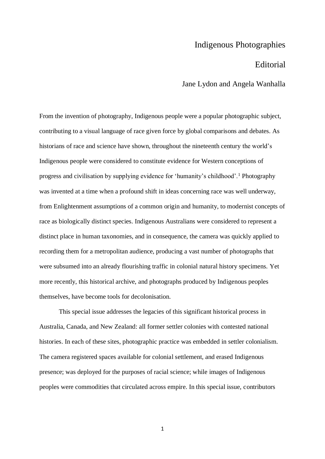## Indigenous Photographies

## Editorial

Jane Lydon and Angela Wanhalla

From the invention of photography, Indigenous people were a popular photographic subject, contributing to a visual language of race given force by global comparisons and debates. As historians of race and science have shown, throughout the nineteenth century the world's Indigenous people were considered to constitute evidence for Western conceptions of progress and civilisation by supplying evidence for 'humanity's childhood'.<sup>1</sup> Photography was invented at a time when a profound shift in ideas concerning race was well underway, from Enlightenment assumptions of a common origin and humanity, to modernist concepts of race as biologically distinct species. Indigenous Australians were considered to represent a distinct place in human taxonomies, and in consequence, the camera was quickly applied to recording them for a metropolitan audience, producing a vast number of photographs that were subsumed into an already flourishing traffic in colonial natural history specimens. Yet more recently, this historical archive, and photographs produced by Indigenous peoples themselves, have become tools for decolonisation.

This special issue addresses the legacies of this significant historical process in Australia, Canada, and New Zealand: all former settler colonies with contested national histories. In each of these sites, photographic practice was embedded in settler colonialism. The camera registered spaces available for colonial settlement, and erased Indigenous presence; was deployed for the purposes of racial science; while images of Indigenous peoples were commodities that circulated across empire. In this special issue, contributors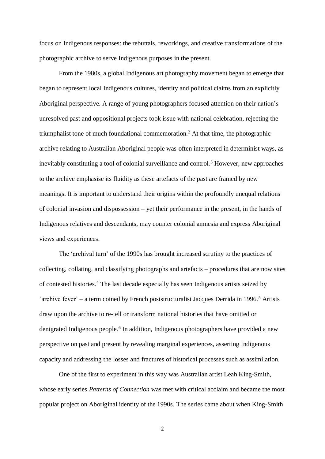focus on Indigenous responses: the rebuttals, reworkings, and creative transformations of the photographic archive to serve Indigenous purposes in the present.

From the 1980s, a global Indigenous art photography movement began to emerge that began to represent local Indigenous cultures, identity and political claims from an explicitly Aboriginal perspective. A range of young photographers focused attention on their nation's unresolved past and oppositional projects took issue with national celebration, rejecting the triumphalist tone of much foundational commemoration.<sup>2</sup> At that time, the photographic archive relating to Australian Aboriginal people was often interpreted in determinist ways, as inevitably constituting a tool of colonial surveillance and control.<sup>3</sup> However, new approaches to the archive emphasise its fluidity as these artefacts of the past are framed by new meanings. It is important to understand their origins within the profoundly unequal relations of colonial invasion and dispossession – yet their performance in the present, in the hands of Indigenous relatives and descendants, may counter colonial amnesia and express Aboriginal views and experiences.

The 'archival turn' of the 1990s has brought increased scrutiny to the practices of collecting, collating, and classifying photographs and artefacts – procedures that are now sites of contested histories.<sup>4</sup> The last decade especially has seen Indigenous artists seized by 'archive fever' – a term coined by French poststructuralist Jacques Derrida in 1996.<sup>5</sup> Artists draw upon the archive to re-tell or transform national histories that have omitted or denigrated Indigenous people.<sup>6</sup> In addition, Indigenous photographers have provided a new perspective on past and present by revealing marginal experiences, asserting Indigenous capacity and addressing the losses and fractures of historical processes such as assimilation.

One of the first to experiment in this way was Australian artist Leah King-Smith, whose early series *Patterns of Connection* was met with critical acclaim and became the most popular project on Aboriginal identity of the 1990s. The series came about when King-Smith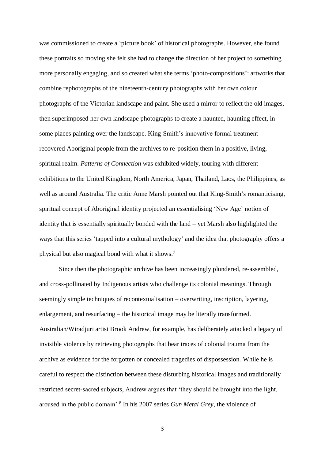was commissioned to create a 'picture book' of historical photographs. However, she found these portraits so moving she felt she had to change the direction of her project to something more personally engaging, and so created what she terms 'photo-compositions': artworks that combine rephotographs of the nineteenth-century photographs with her own colour photographs of the Victorian landscape and paint. She used a mirror to reflect the old images, then superimposed her own landscape photographs to create a haunted, haunting effect, in some places painting over the landscape. King-Smith's innovative formal treatment recovered Aboriginal people from the archives to re-position them in a positive, living, spiritual realm. *Patterns of Connection* was exhibited widely, touring with different exhibitions to the United Kingdom, North America, Japan, Thailand, Laos, the Philippines, as well as around Australia. The critic Anne Marsh pointed out that King-Smith's romanticising, spiritual concept of Aboriginal identity projected an essentialising 'New Age' notion of identity that is essentially spiritually bonded with the land – yet Marsh also highlighted the ways that this series 'tapped into a cultural mythology' and the idea that photography offers a physical but also magical bond with what it shows.<sup>7</sup>

Since then the photographic archive has been increasingly plundered, re-assembled, and cross-pollinated by Indigenous artists who challenge its colonial meanings. Through seemingly simple techniques of recontextualisation – overwriting, inscription, layering, enlargement, and resurfacing – the historical image may be literally transformed. Australian/Wiradjuri artist Brook Andrew, for example, has deliberately attacked a legacy of invisible violence by retrieving photographs that bear traces of colonial trauma from the archive as evidence for the forgotten or concealed tragedies of dispossession. While he is careful to respect the distinction between these disturbing historical images and traditionally restricted secret-sacred subjects, Andrew argues that 'they should be brought into the light, aroused in the public domain'.<sup>8</sup> In his 2007 series *Gun Metal Grey*, the violence of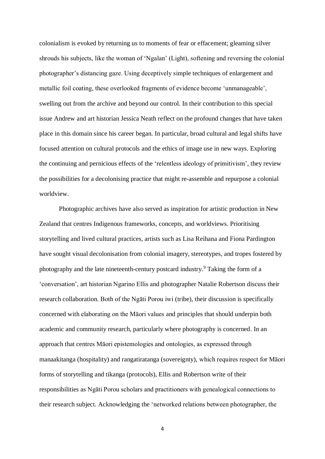colonialism is evoked by returning us to moments of fear or effacement; gleaming silver shrouds his subjects, like the woman of 'Ngalan' (Light), softening and reversing the colonial photographer's distancing gaze. Using deceptively simple techniques of enlargement and metallic foil coating, these overlooked fragments of evidence become 'unmanageable', swelling out from the archive and beyond our control. In their contribution to this special issue Andrew and art historian Jessica Neath reflect on the profound changes that have taken place in this domain since his career began. In particular, broad cultural and legal shifts have focused attention on cultural protocols and the ethics of image use in new ways. Exploring the continuing and pernicious effects of the 'relentless ideology of primitivism', they review the possibilities for a decolonising practice that might re-assemble and repurpose a colonial worldview.

Photographic archives have also served as inspiration for artistic production in New Zealand that centres Indigenous frameworks, concepts, and worldviews. Prioritising storytelling and lived cultural practices, artists such as Lisa Reihana and Fiona Pardington have sought visual decolonisation from colonial imagery, stereotypes, and tropes fostered by photography and the late nineteenth-century postcard industry. <sup>9</sup> Taking the form of a 'conversation', art historian Ngarino Ellis and photographer Natalie Robertson discuss their research collaboration. Both of the Ngāti Porou iwi (tribe), their discussion is specifically concerned with elaborating on the Māori values and principles that should underpin both academic and community research, particularly where photography is concerned. In an approach that centres Māori epistemologies and ontologies, as expressed through manaakitanga (hospitality) and rangatiratanga (sovereignty), which requires respect for Māori forms of storytelling and tikanga (protocols), Ellis and Robertson write of their responsibilities as Ngāti Porou scholars and practitioners with genealogical connections to their research subject. Acknowledging the 'networked relations between photographer, the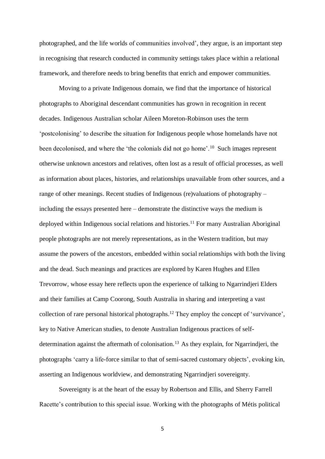photographed, and the life worlds of communities involved', they argue, is an important step in recognising that research conducted in community settings takes place within a relational framework, and therefore needs to bring benefits that enrich and empower communities.

Moving to a private Indigenous domain, we find that the importance of historical photographs to Aboriginal descendant communities has grown in recognition in recent decades. Indigenous Australian scholar Aileen Moreton-Robinson uses the term 'postcolonising' to describe the situation for Indigenous people whose homelands have not been decolonised, and where the 'the colonials did not go home'.<sup>10</sup> Such images represent otherwise unknown ancestors and relatives, often lost as a result of official processes, as well as information about places, histories, and relationships unavailable from other sources, and a range of other meanings. Recent studies of Indigenous (re)valuations of photography – including the essays presented here – demonstrate the distinctive ways the medium is deployed within Indigenous social relations and histories.<sup>11</sup> For many Australian Aboriginal people photographs are not merely representations, as in the Western tradition, but may assume the powers of the ancestors, embedded within social relationships with both the living and the dead. Such meanings and practices are explored by Karen Hughes and Ellen Trevorrow, whose essay here reflects upon the experience of talking to Ngarrindjeri Elders and their families at Camp Coorong, South Australia in sharing and interpreting a vast collection of rare personal historical photographs.<sup>12</sup> They employ the concept of 'survivance', key to Native American studies, to denote Australian Indigenous practices of selfdetermination against the aftermath of colonisation.<sup>13</sup> As they explain, for Ngarrindjeri, the photographs 'carry a life-force similar to that of semi-sacred customary objects', evoking kin, asserting an Indigenous worldview, and demonstrating Ngarrindjeri sovereignty.

Sovereignty is at the heart of the essay by Robertson and Ellis, and Sherry Farrell Racette's contribution to this special issue. Working with the photographs of Métis political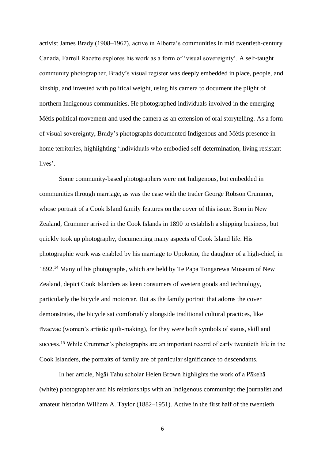activist James Brady (1908–1967), active in Alberta's communities in mid twentieth-century Canada, Farrell Racette explores his work as a form of 'visual sovereignty'. A self-taught community photographer, Brady's visual register was deeply embedded in place, people, and kinship, and invested with political weight, using his camera to document the plight of northern Indigenous communities. He photographed individuals involved in the emerging Métis political movement and used the camera as an extension of oral storytelling. As a form of visual sovereignty, Brady's photographs documented Indigenous and Métis presence in home territories, highlighting 'individuals who embodied self-determination, living resistant lives'.

Some community-based photographers were not Indigenous, but embedded in communities through marriage, as was the case with the trader George Robson Crummer, whose portrait of a Cook Island family features on the cover of this issue. Born in New Zealand, Crummer arrived in the Cook Islands in 1890 to establish a shipping business, but quickly took up photography, documenting many aspects of Cook Island life. His photographic work was enabled by his marriage to Upokotio, the daughter of a high-chief, in 1892. <sup>14</sup> Many of his photographs, which are held by Te Papa Tongarewa Museum of New Zealand, depict Cook Islanders as keen consumers of western goods and technology, particularly the bicycle and motorcar. But as the family portrait that adorns the cover demonstrates, the bicycle sat comfortably alongside traditional cultural practices, like tīvaevae (women's artistic quilt-making), for they were both symbols of status, skill and success.<sup>15</sup> While Crummer's photographs are an important record of early twentieth life in the Cook Islanders, the portraits of family are of particular significance to descendants.

In her article, Ngāi Tahu scholar Helen Brown highlights the work of a Pākehā (white) photographer and his relationships with an Indigenous community: the journalist and amateur historian William A. Taylor (1882–1951). Active in the first half of the twentieth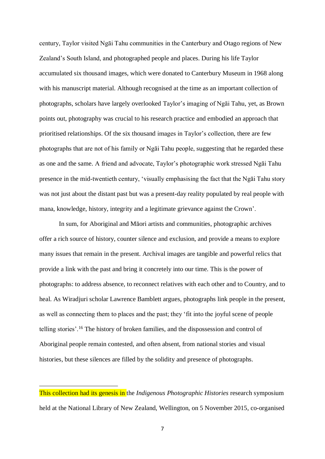century, Taylor visited Ngāi Tahu communities in the Canterbury and Otago regions of New Zealand's South Island, and photographed people and places. During his life Taylor accumulated six thousand images, which were donated to Canterbury Museum in 1968 along with his manuscript material. Although recognised at the time as an important collection of photographs, scholars have largely overlooked Taylor's imaging of Ngāi Tahu, yet, as Brown points out, photography was crucial to his research practice and embodied an approach that prioritised relationships. Of the six thousand images in Taylor's collection, there are few photographs that are not of his family or Ngāi Tahu people, suggesting that he regarded these as one and the same. A friend and advocate, Taylor's photographic work stressed Ngāi Tahu presence in the mid-twentieth century, 'visually emphasising the fact that the Ngāi Tahu story was not just about the distant past but was a present-day reality populated by real people with mana, knowledge, history, integrity and a legitimate grievance against the Crown'.

In sum, for Aboriginal and Māori artists and communities, photographic archives offer a rich source of history, counter silence and exclusion, and provide a means to explore many issues that remain in the present. Archival images are tangible and powerful relics that provide a link with the past and bring it concretely into our time. This is the power of photographs: to address absence, to reconnect relatives with each other and to Country, and to heal. As Wiradjuri scholar Lawrence Bamblett argues, photographs link people in the present, as well as connecting them to places and the past; they 'fit into the joyful scene of people telling stories'.<sup>16</sup> The history of broken families, and the dispossession and control of Aboriginal people remain contested, and often absent, from national stories and visual histories, but these silences are filled by the solidity and presence of photographs.

.

This collection had its genesis in the *Indigenous Photographic Histories* research symposium held at the National Library of New Zealand, Wellington, on 5 November 2015, co-organised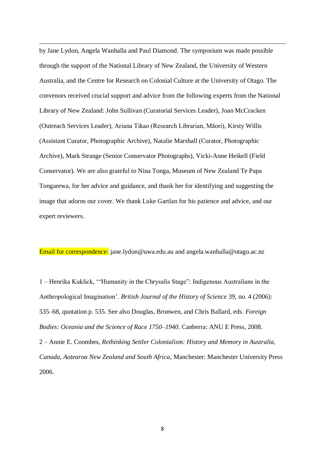by Jane Lydon, Angela Wanhalla and Paul Diamond. The symposium was made possible through the support of the National Library of New Zealand, the University of Western Australia, and the Centre for Research on Colonial Culture at the University of Otago. The convenors received crucial support and advice from the following experts from the National Library of New Zealand: John Sullivan (Curatorial Services Leader), Joan McCracken (Outreach Services Leader), Ariana Tikao (Research Librarian, Māori), Kirsty Willis (Assistant Curator, Photographic Archive), Natalie Marshall (Curator, Photographic Archive), Mark Strange (Senior Conservator Photographs), Vicki-Anne Heikell (Field Conservator). We are also grateful to Nina Tonga, Museum of New Zealand Te Papa Tongarewa, for her advice and guidance, and thank her for identifying and suggesting the image that adorns our cover. We thank Luke Gartlan for his patience and advice, and our expert reviewers.

.

Email for correspondence: [jane.lydon@uwa.edu.au](mailto:jane.lydon@uwa.edu.au) and angela.wanhalla@otago.ac.nz

1 – Henrika Kuklick, '"Humanity in the Chrysalis Stage": Indigenous Australians in the Anthropological Imagination'. *British Journal of the History of Science* 39, no. 4 (2006): 535–68, quotation p. 535. See also Douglas, Bronwen, and Chris Ballard, eds. *Foreign Bodies: Oceania and the Science of Race 1750–1940*. Canberra: ANU E Press, 2008. 2 – Annie E. Coombes, *Rethinking Settler Colonialism: History and Memory in Australia, Canada, Aotearoa New Zealand and South Africa*, Manchester: Manchester University Press 2006.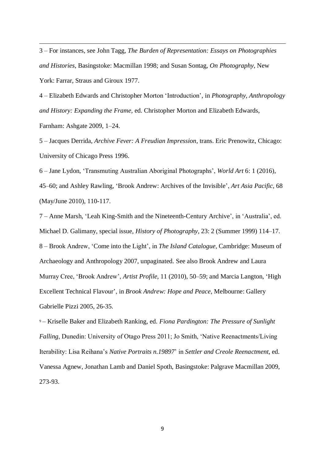3 – For instances, see John Tagg, *The Burden of Representation: Essays on Photographies and Histories*, Basingstoke: Macmillan 1998; and Susan Sontag, *On Photography*, New York: Farrar, Straus and Giroux 1977.

.

4 – Elizabeth Edwards and Christopher Morton 'Introduction', in *Photography, Anthropology and History: Expanding the Frame,* ed. Christopher Morton and Elizabeth Edwards, Farnham: Ashgate 2009, 1–24.

5 – Jacques Derrida, *Archive Fever: A Freudian Impression*, trans. Eric Prenowitz, Chicago: University of Chicago Press 1996.

6 – Jane Lydon, 'Transmuting Australian Aboriginal Photographs', *World Art* 6: 1 (2016), 45–60; and Ashley Rawling, 'Brook Andrew: Archives of the Invisible', *Art Asia Pacific*, 68 (May/June 2010), 110-117.

7 – Anne Marsh, 'Leah King-Smith and the Nineteenth-Century Archive', in 'Australia', ed. Michael D. Galimany, special issue, *History of Photography*, 23: 2 (Summer 1999) 114–17. 8 – Brook Andrew, 'Come into the Light', in *The Island Catalogue*, Cambridge: Museum of Archaeology and Anthropology 2007, unpaginated. See also Brook Andrew and Laura Murray Cree, 'Brook Andrew', *Artist Profile,* 11 (2010), 50–59; and Marcia Langton, 'High Excellent Technical Flavour', in *Brook Andrew: Hope and Peace*, Melbourne: Gallery Gabrielle Pizzi 2005, 26-35.

<sup>9</sup> – Kriselle Baker and Elizabeth Ranking, ed. *Fiona Pardington: The Pressure of Sunlight Falling*, Dunedin: University of Otago Press 2011; Jo Smith, 'Native Reenactments/Living Iterability: Lisa Reihana's *Native Portraits n.19897*' in *Settler and Creole Reenactment*, ed. Vanessa Agnew, Jonathan Lamb and Daniel Spoth, Basingstoke: Palgrave Macmillan 2009, 273-93.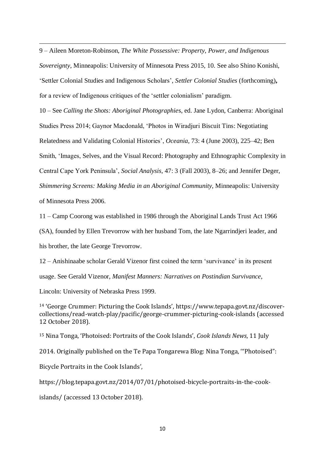9 – Aileen Moreton-Robinson, *The White Possessive: Property, Power, and Indigenous Sovereignty*, Minneapolis: University of Minnesota Press 2015, 10. See also Shino Konishi, 'Settler Colonial Studies and Indigenous Scholars', *Settler Colonial Studies* (forthcoming)**,**  for a review of Indigenous critiques of the 'settler colonialism' paradigm.

10 – See *Calling the Shots: Aboriginal Photographie*s, ed. Jane Lydon, Canberra: Aboriginal Studies Press 2014; Gaynor Macdonald, 'Photos in Wiradjuri Biscuit Tins: Negotiating Relatedness and Validating Colonial Histories', *Oceania,* 73: 4 (June 2003), 225–42; Ben Smith, 'Images, Selves, and the Visual Record: Photography and Ethnographic Complexity in Central Cape York Peninsula', *Social Analysis,* 47: 3 (Fall 2003), 8–26; and Jennifer Deger, *Shimmering Screens: Making Media in an Aboriginal Community*, Minneapolis: University of Minnesota Press 2006.

11 – Camp Coorong was established in 1986 through the Aboriginal Lands Trust Act 1966 (SA), founded by Ellen Trevorrow with her husband Tom, the late Ngarrindjeri leader, and his brother, the late George Trevorrow.

12 – Anishinaabe scholar Gerald Vizenor first coined the term 'survivance' in its present usage. See Gerald Vizenor, *Manifest Manners: Narratives on Postindian Survivance*, Lincoln: University of Nebraska Press 1999.

<sup>14</sup> 'George Crummer: Picturing the Cook Islands', [https://www.tepapa.govt.nz/discover](https://www.tepapa.govt.nz/discover-collections/read-watch-play/pacific/george-crummer-picturing-cook-islands)[collections/read-watch-play/pacific/george-crummer-picturing-cook-islands](https://www.tepapa.govt.nz/discover-collections/read-watch-play/pacific/george-crummer-picturing-cook-islands) (accessed 12 October 2018).

<sup>15</sup> Nina Tonga, 'Photoised: Portraits of the Cook Islands', *Cook Islands News*, 11 July

2014. Originally published on the Te Papa Tongarewa Blog: Nina Tonga, '"Photoised":

Bicycle Portraits in the Cook Islands',

.

[https://blog.tepapa.govt.nz/2014/07/01/photoised-bicycle-portraits-in-the-cook-](https://blog.tepapa.govt.nz/2014/07/01/photoised-bicycle-portraits-in-the-cook-islands/)

[islands/](https://blog.tepapa.govt.nz/2014/07/01/photoised-bicycle-portraits-in-the-cook-islands/) (accessed 13 October 2018).